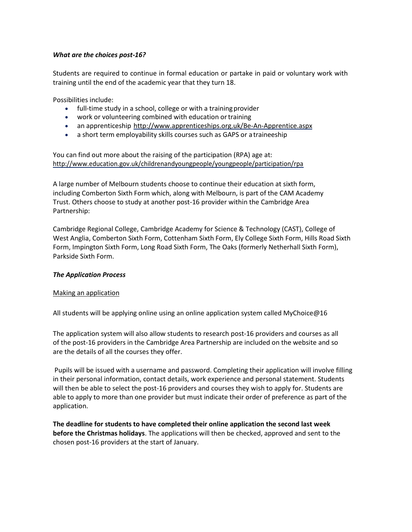### *What are the choices post-16?*

Students are required to continue in formal education or partake in paid or voluntary work with training until the end of the academic year that they turn 18.

Possibilities include:

- full-time study in a school, college or with a training provider
- work or volunteering combined with education or training
- an apprenticeship <http://www.apprenticeships.org.uk/Be-An-Apprentice.aspx>
- a short term employability skills courses such as GAPS or a traineeship

You can find out more about the raising of the participation (RPA) age at: <http://www.education.gov.uk/childrenandyoungpeople/youngpeople/participation/rpa>

A large number of Melbourn students choose to continue their education at sixth form, including Comberton Sixth Form which, along with Melbourn, is part of the CAM Academy Trust. Others choose to study at another post-16 provider within the Cambridge Area Partnership:

Cambridge Regional College, Cambridge Academy for Science & Technology (CAST), College of West Anglia, Comberton Sixth Form, Cottenham Sixth Form, Ely College Sixth Form, Hills Road Sixth Form, Impington Sixth Form, Long Road Sixth Form, The Oaks (formerly Netherhall Sixth Form), Parkside Sixth Form.

#### *The Application Process*

#### Making an application

All students will be applying online using an online application system called MyChoice@16

The application system will also allow students to research post-16 providers and courses as all of the post-16 providers in the Cambridge Area Partnership are included on the website and so are the details of all the courses they offer.

Pupils will be issued with a username and password. Completing their application will involve filling in their personal information, contact details, work experience and personal statement. Students will then be able to select the post-16 providers and courses they wish to apply for. Students are able to apply to more than one provider but must indicate their order of preference as part of the application.

**The deadline for students to have completed their online application the second last week before the Christmas holidays**. The applications will then be checked, approved and sent to the chosen post-16 providers at the start of January.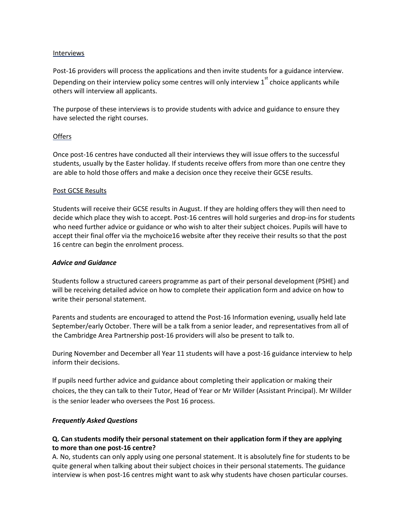#### **Interviews**

Post-16 providers will process the applications and then invite students for a guidance interview. Depending on their interview policy some centres will only interview  $1^{st}$  choice applicants while others will interview all applicants.

The purpose of these interviews is to provide students with advice and guidance to ensure they have selected the right courses.

### **Offers**

Once post-16 centres have conducted all their interviews they will issue offers to the successful students, usually by the Easter holiday. If students receive offers from more than one centre they are able to hold those offers and make a decision once they receive their GCSE results.

### Post GCSE Results

Students will receive their GCSE results in August. If they are holding offers they will then need to decide which place they wish to accept. Post-16 centres will hold surgeries and drop-ins for students who need further advice or guidance or who wish to alter their subject choices. Pupils will have to accept their final offer via the mychoice16 website after they receive their results so that the post 16 centre can begin the enrolment process.

#### *Advice and Guidance*

Students follow a structured careers programme as part of their personal development (PSHE) and will be receiving detailed advice on how to complete their application form and advice on how to write their personal statement.

Parents and students are encouraged to attend the Post-16 Information evening, usually held late September/early October. There will be a talk from a senior leader, and representatives from all of the Cambridge Area Partnership post-16 providers will also be present to talk to.

During November and December all Year 11 students will have a post-16 guidance interview to help inform their decisions.

If pupils need further advice and guidance about completing their application or making their choices, the they can talk to their Tutor, Head of Year or Mr Willder (Assistant Principal). Mr Willder is the senior leader who oversees the Post 16 process.

### *Frequently Asked Questions*

## **Q. Can students modify their personal statement on their application form if they are applying to more than one post-16 centre?**

A. No, students can only apply using one personal statement. It is absolutely fine for students to be quite general when talking about their subject choices in their personal statements. The guidance interview is when post-16 centres might want to ask why students have chosen particular courses.